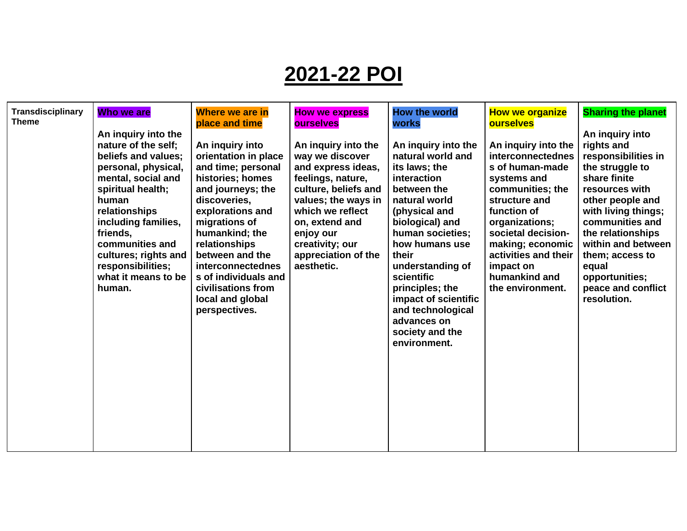# **2021-22 POI**

| <b>Transdisciplinary</b> | Who we are           | Where we are in          | <b>How we express</b> | <b>How the world</b> | <b>How we organize</b> | <b>Sharing the planet</b> |
|--------------------------|----------------------|--------------------------|-----------------------|----------------------|------------------------|---------------------------|
| <b>Theme</b>             |                      | place and time           | <b>ourselves</b>      | <b>works</b>         | <b>ourselves</b>       |                           |
|                          | An inquiry into the  |                          |                       |                      |                        | An inquiry into           |
|                          | nature of the self;  | An inquiry into          | An inquiry into the   | An inquiry into the  | An inquiry into the    | rights and                |
|                          | beliefs and values:  | orientation in place     | way we discover       | natural world and    | interconnectednes      | responsibilities in       |
|                          | personal, physical,  | and time; personal       | and express ideas,    | its laws; the        | s of human-made        | the struggle to           |
|                          | mental, social and   | histories; homes         | feelings, nature,     | interaction          | systems and            | share finite              |
|                          | spiritual health;    | and journeys; the        | culture, beliefs and  | between the          | communities; the       | resources with            |
|                          | human                | discoveries,             | values; the ways in   | natural world        | structure and          | other people and          |
|                          | relationships        | explorations and         | which we reflect      | (physical and        | function of            | with living things;       |
|                          | including families,  | migrations of            | on, extend and        | biological) and      | organizations;         | communities and           |
|                          | friends,             | humankind; the           | enjoy our             | human societies;     | societal decision-     | the relationships         |
|                          | communities and      | relationships            | creativity; our       | how humans use       | making; economic       | within and between        |
|                          | cultures; rights and | between and the          | appreciation of the   | their                | activities and their   | them; access to           |
|                          | responsibilities;    | <b>interconnectednes</b> | aesthetic.            | understanding of     | impact on              | equal                     |
|                          | what it means to be  | s of individuals and     |                       | scientific           | humankind and          | opportunities;            |
|                          | human.               | civilisations from       |                       | principles; the      | the environment.       | peace and conflict        |
|                          |                      | local and global         |                       | impact of scientific |                        | resolution.               |
|                          |                      | perspectives.            |                       | and technological    |                        |                           |
|                          |                      |                          |                       | advances on          |                        |                           |
|                          |                      |                          |                       | society and the      |                        |                           |
|                          |                      |                          |                       |                      |                        |                           |
|                          |                      |                          |                       | environment.         |                        |                           |
|                          |                      |                          |                       |                      |                        |                           |
|                          |                      |                          |                       |                      |                        |                           |
|                          |                      |                          |                       |                      |                        |                           |
|                          |                      |                          |                       |                      |                        |                           |
|                          |                      |                          |                       |                      |                        |                           |
|                          |                      |                          |                       |                      |                        |                           |
|                          |                      |                          |                       |                      |                        |                           |
|                          |                      |                          |                       |                      |                        |                           |
|                          |                      |                          |                       |                      |                        |                           |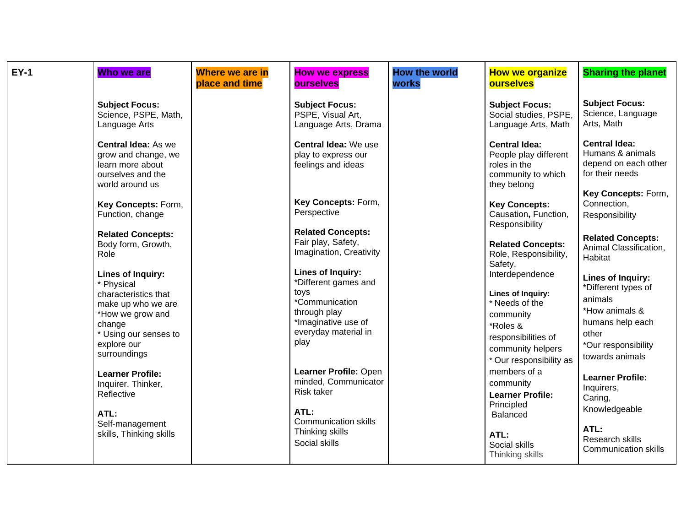| <b>EY-1</b> | Who we are                                                                                                                                                                 | Where we are in<br>place and time | <b>How we express</b><br><b>ourselves</b>                                                                                                         | <b>How the world</b><br><b>works</b> | <b>How we organize</b><br><b>ourselves</b>                                                                                                                    | <b>Sharing the planet</b>                                                                                                                    |
|-------------|----------------------------------------------------------------------------------------------------------------------------------------------------------------------------|-----------------------------------|---------------------------------------------------------------------------------------------------------------------------------------------------|--------------------------------------|---------------------------------------------------------------------------------------------------------------------------------------------------------------|----------------------------------------------------------------------------------------------------------------------------------------------|
|             | <b>Subject Focus:</b><br>Science, PSPE, Math,<br>Language Arts                                                                                                             |                                   | <b>Subject Focus:</b><br>PSPE, Visual Art,<br>Language Arts, Drama                                                                                |                                      | <b>Subject Focus:</b><br>Social studies, PSPE.<br>Language Arts, Math                                                                                         | <b>Subject Focus:</b><br>Science, Language<br>Arts, Math                                                                                     |
|             | <b>Central Idea: As we</b><br>grow and change, we<br>learn more about<br>ourselves and the<br>world around us                                                              |                                   | Central Idea: We use<br>play to express our<br>feelings and ideas                                                                                 |                                      | <b>Central Idea:</b><br>People play different<br>roles in the<br>community to which<br>they belong                                                            | <b>Central Idea:</b><br>Humans & animals<br>depend on each other<br>for their needs                                                          |
|             | Key Concepts: Form,<br>Function, change                                                                                                                                    |                                   | Key Concepts: Form,<br>Perspective                                                                                                                |                                      | <b>Key Concepts:</b><br>Causation, Function,<br>Responsibility                                                                                                | Key Concepts: Form,<br>Connection,<br>Responsibility                                                                                         |
|             | <b>Related Concepts:</b><br>Body form, Growth,<br>Role                                                                                                                     |                                   | <b>Related Concepts:</b><br>Fair play, Safety,<br>Imagination, Creativity                                                                         |                                      | <b>Related Concepts:</b><br>Role, Responsibility,<br>Safety,                                                                                                  | <b>Related Concepts:</b><br>Animal Classification,<br>Habitat                                                                                |
|             | <b>Lines of Inquiry:</b><br>* Physical<br>characteristics that<br>make up who we are<br>*How we grow and<br>change<br>* Using our senses to<br>explore our<br>surroundings |                                   | <b>Lines of Inquiry:</b><br>*Different games and<br>toys<br>*Communication<br>through play<br>*Imaginative use of<br>everyday material in<br>play |                                      | Interdependence<br><b>Lines of Inquiry:</b><br>* Needs of the<br>community<br>*Roles &<br>responsibilities of<br>community helpers<br>* Our responsibility as | Lines of Inquiry:<br>*Different types of<br>animals<br>*How animals &<br>humans help each<br>other<br>*Our responsibility<br>towards animals |
|             | <b>Learner Profile:</b><br>Inquirer, Thinker,<br>Reflective<br>ATL:                                                                                                        |                                   | Learner Profile: Open<br>minded, Communicator<br><b>Risk taker</b><br>ATL:                                                                        |                                      | members of a<br>community<br><b>Learner Profile:</b><br>Principled<br><b>Balanced</b>                                                                         | <b>Learner Profile:</b><br>Inquirers,<br>Caring,<br>Knowledgeable                                                                            |
|             | Self-management<br>skills, Thinking skills                                                                                                                                 |                                   | <b>Communication skills</b><br>Thinking skills<br>Social skills                                                                                   |                                      | ATL:<br>Social skills<br>Thinking skills                                                                                                                      | ATL:<br>Research skills<br><b>Communication skills</b>                                                                                       |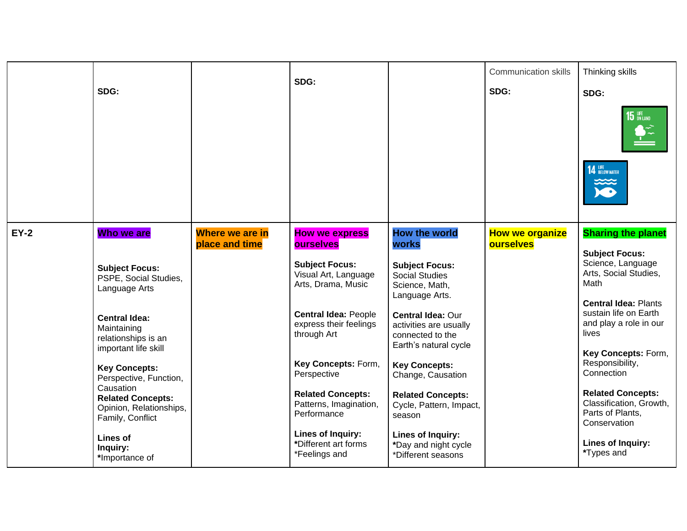|             |                                                                                      | SDG:                              |                                                                      | <b>Communication skills</b>                                                              | Thinking skills                     |                                                                                                            |
|-------------|--------------------------------------------------------------------------------------|-----------------------------------|----------------------------------------------------------------------|------------------------------------------------------------------------------------------|-------------------------------------|------------------------------------------------------------------------------------------------------------|
|             | SDG:                                                                                 |                                   |                                                                      |                                                                                          | SDG:                                | SDG:                                                                                                       |
|             |                                                                                      |                                   |                                                                      |                                                                                          |                                     | 15                                                                                                         |
|             |                                                                                      |                                   |                                                                      |                                                                                          |                                     | <b>14 BELOW WATER</b>                                                                                      |
| <b>EY-2</b> | Who we are                                                                           | Where we are in<br>place and time | <b>How we express</b><br><b>ourselves</b>                            | <b>How the world</b><br><b>works</b>                                                     | <b>How we organize</b><br>ourselves | <b>Sharing the planet</b>                                                                                  |
|             | <b>Subject Focus:</b><br>PSPE, Social Studies,<br>Language Arts                      |                                   | <b>Subject Focus:</b><br>Visual Art, Language<br>Arts, Drama, Music  | <b>Subject Focus:</b><br><b>Social Studies</b><br>Science, Math,<br>Language Arts.       |                                     | <b>Subject Focus:</b><br>Science, Language<br>Arts, Social Studies,<br>Math<br><b>Central Idea: Plants</b> |
|             | <b>Central Idea:</b><br>Maintaining<br>relationships is an<br>important life skill   |                                   | <b>Central Idea: People</b><br>express their feelings<br>through Art | Central Idea: Our<br>activities are usually<br>connected to the<br>Earth's natural cycle |                                     | sustain life on Earth<br>and play a role in our<br>lives                                                   |
|             | <b>Key Concepts:</b><br>Perspective, Function,                                       |                                   | Key Concepts: Form,<br>Perspective                                   | <b>Key Concepts:</b><br>Change, Causation                                                |                                     | Key Concepts: Form,<br>Responsibility,<br>Connection                                                       |
|             | Causation<br><b>Related Concepts:</b><br>Opinion, Relationships,<br>Family, Conflict |                                   | <b>Related Concepts:</b><br>Patterns, Imagination,<br>Performance    | <b>Related Concepts:</b><br>Cycle, Pattern, Impact,<br>season                            |                                     | <b>Related Concepts:</b><br>Classification, Growth,<br>Parts of Plants,<br>Conservation                    |
|             | <b>Lines of</b><br>Inquiry:<br>*Importance of                                        |                                   | Lines of Inquiry:<br>*Different art forms<br>*Feelings and           | <b>Lines of Inquiry:</b><br>*Day and night cycle<br>*Different seasons                   |                                     | Lines of Inquiry:<br>*Types and                                                                            |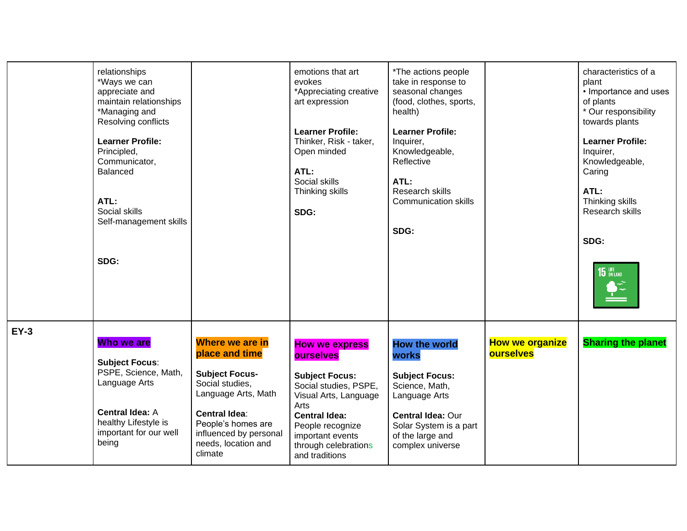|             | relationships<br>*Ways we can<br>appreciate and<br>maintain relationships<br>*Managing and<br>Resolving conflicts<br><b>Learner Profile:</b><br>Principled,<br>Communicator,<br><b>Balanced</b><br>ATL:<br>Social skills<br>Self-management skills<br>SDG: |                                                                                                                                                                                                                | emotions that art<br>evokes<br>*Appreciating creative<br>art expression<br><b>Learner Profile:</b><br>Thinker, Risk - taker,<br>Open minded<br>ATL:<br>Social skills<br>Thinking skills<br>SDG:                                 | *The actions people<br>take in response to<br>seasonal changes<br>(food, clothes, sports,<br>health)<br><b>Learner Profile:</b><br>Inquirer,<br>Knowledgeable,<br>Reflective<br>ATL:<br>Research skills<br><b>Communication skills</b><br>SDG: |                                            | characteristics of a<br>plant<br>• Importance and uses<br>of plants<br>* Our responsibility<br>towards plants<br><b>Learner Profile:</b><br>Inquirer,<br>Knowledgeable,<br>Caring<br>ATL:<br>Thinking skills<br>Research skills<br>SDG:<br>$15$ $\frac{LIE}{ON LAND}$<br>$\mathbf{P}^2$ |
|-------------|------------------------------------------------------------------------------------------------------------------------------------------------------------------------------------------------------------------------------------------------------------|----------------------------------------------------------------------------------------------------------------------------------------------------------------------------------------------------------------|---------------------------------------------------------------------------------------------------------------------------------------------------------------------------------------------------------------------------------|------------------------------------------------------------------------------------------------------------------------------------------------------------------------------------------------------------------------------------------------|--------------------------------------------|-----------------------------------------------------------------------------------------------------------------------------------------------------------------------------------------------------------------------------------------------------------------------------------------|
| <b>EY-3</b> | Who we are<br><b>Subject Focus:</b><br>PSPE, Science, Math,<br>Language Arts<br><b>Central Idea: A</b><br>healthy Lifestyle is<br>important for our well<br>being                                                                                          | Where we are in<br>place and time<br><b>Subject Focus-</b><br>Social studies,<br>Language Arts, Math<br><b>Central Idea:</b><br>People's homes are<br>influenced by personal<br>needs, location and<br>climate | <b>How we express</b><br>ourselves<br><b>Subject Focus:</b><br>Social studies, PSPE,<br>Visual Arts, Language<br>Arts<br><b>Central Idea:</b><br>People recognize<br>important events<br>through celebrations<br>and traditions | <b>How the world</b><br>works<br><b>Subject Focus:</b><br>Science, Math,<br>Language Arts<br>Central Idea: Our<br>Solar System is a part<br>of the large and<br>complex universe                                                               | <b>How we organize</b><br><b>ourselves</b> | <b>Sharing the planet</b>                                                                                                                                                                                                                                                               |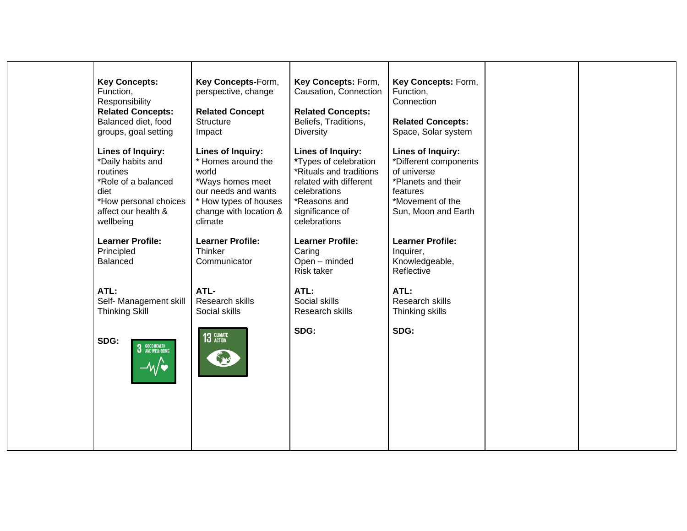| <b>Key Concepts:</b><br>Function,<br>Responsibility<br><b>Related Concepts:</b><br>Balanced diet, food<br>groups, goal setting<br><b>Lines of Inquiry:</b><br>*Daily habits and<br>routines<br>*Role of a balanced<br>diet<br>*How personal choices<br>affect our health &<br>wellbeing<br><b>Learner Profile:</b><br>Principled | Key Concepts-Form,<br>perspective, change<br><b>Related Concept</b><br>Structure<br>Impact<br>Lines of Inquiry:<br>* Homes around the<br>world<br>*Ways homes meet<br>our needs and wants<br>* How types of houses<br>change with location &<br>climate<br><b>Learner Profile:</b><br>Thinker | Key Concepts: Form,<br>Causation, Connection<br><b>Related Concepts:</b><br>Beliefs, Traditions,<br><b>Diversity</b><br><b>Lines of Inquiry:</b><br>*Types of celebration<br>*Rituals and traditions<br>related with different<br>celebrations<br>*Reasons and<br>significance of<br>celebrations<br><b>Learner Profile:</b><br>Caring | Key Concepts: Form,<br>Function,<br>Connection<br><b>Related Concepts:</b><br>Space, Solar system<br><b>Lines of Inquiry:</b><br>*Different components<br>of universe<br>*Planets and their<br>features<br>*Movement of the<br>Sun, Moon and Earth<br><b>Learner Profile:</b><br>Inquirer, |  |
|----------------------------------------------------------------------------------------------------------------------------------------------------------------------------------------------------------------------------------------------------------------------------------------------------------------------------------|-----------------------------------------------------------------------------------------------------------------------------------------------------------------------------------------------------------------------------------------------------------------------------------------------|----------------------------------------------------------------------------------------------------------------------------------------------------------------------------------------------------------------------------------------------------------------------------------------------------------------------------------------|--------------------------------------------------------------------------------------------------------------------------------------------------------------------------------------------------------------------------------------------------------------------------------------------|--|
| <b>Balanced</b><br>ATL:<br>Self- Management skill<br><b>Thinking Skill</b><br>SDG:<br>3 GOOD HEALTH<br>3 AND WELL-BEING                                                                                                                                                                                                          | Communicator<br>ATL-<br>Research skills<br>Social skills<br><b>13 CLIMATE</b>                                                                                                                                                                                                                 | Open - minded<br>Risk taker<br>ATL:<br>Social skills<br>Research skills<br>SDG:                                                                                                                                                                                                                                                        | Knowledgeable,<br>Reflective<br>ATL:<br>Research skills<br>Thinking skills<br>SDG:                                                                                                                                                                                                         |  |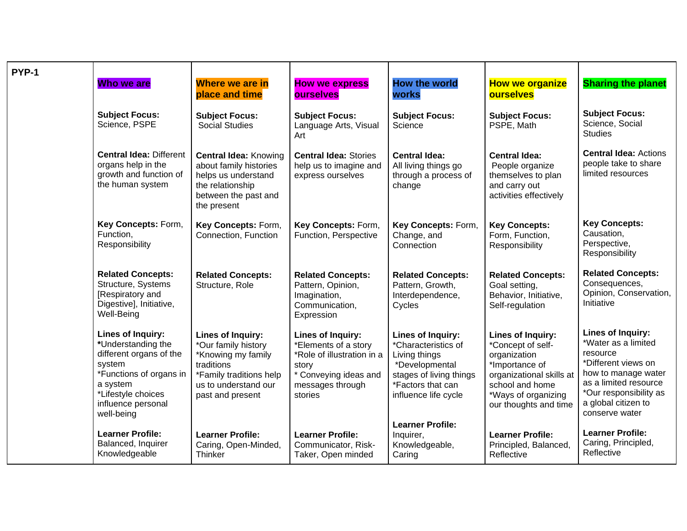| PYP-1 |                                                                                                                                                                               |                                                                                                                                                     |                                                                                                                                                 |                                                                                                                                                            |                                                                                                                                                                                |                                                                                                                                                                                                       |
|-------|-------------------------------------------------------------------------------------------------------------------------------------------------------------------------------|-----------------------------------------------------------------------------------------------------------------------------------------------------|-------------------------------------------------------------------------------------------------------------------------------------------------|------------------------------------------------------------------------------------------------------------------------------------------------------------|--------------------------------------------------------------------------------------------------------------------------------------------------------------------------------|-------------------------------------------------------------------------------------------------------------------------------------------------------------------------------------------------------|
|       | Who we are                                                                                                                                                                    | <b>Where we are in</b><br>place and time                                                                                                            | <b>How we express</b><br><b>ourselves</b>                                                                                                       | <b>How the world</b><br><b>works</b>                                                                                                                       | <b>How we organize</b><br><b>ourselves</b>                                                                                                                                     | <b>Sharing the planet</b>                                                                                                                                                                             |
|       | <b>Subject Focus:</b><br>Science, PSPE                                                                                                                                        | <b>Subject Focus:</b><br><b>Social Studies</b>                                                                                                      | <b>Subject Focus:</b><br>Language Arts, Visual<br>Art                                                                                           | <b>Subject Focus:</b><br>Science                                                                                                                           | <b>Subject Focus:</b><br>PSPE, Math                                                                                                                                            | <b>Subject Focus:</b><br>Science, Social<br><b>Studies</b>                                                                                                                                            |
|       | <b>Central Idea: Different</b><br>organs help in the<br>growth and function of<br>the human system                                                                            | <b>Central Idea: Knowing</b><br>about family histories<br>helps us understand<br>the relationship<br>between the past and<br>the present            | <b>Central Idea: Stories</b><br>help us to imagine and<br>express ourselves                                                                     | <b>Central Idea:</b><br>All living things go<br>through a process of<br>change                                                                             | <b>Central Idea:</b><br>People organize<br>themselves to plan<br>and carry out<br>activities effectively                                                                       | <b>Central Idea: Actions</b><br>people take to share<br>limited resources                                                                                                                             |
|       | Key Concepts: Form,<br>Function,<br>Responsibility                                                                                                                            | Key Concepts: Form,<br>Connection, Function                                                                                                         | Key Concepts: Form,<br>Function, Perspective                                                                                                    | Key Concepts: Form,<br>Change, and<br>Connection                                                                                                           | <b>Key Concepts:</b><br>Form, Function,<br>Responsibility                                                                                                                      | <b>Key Concepts:</b><br>Causation,<br>Perspective,<br>Responsibility                                                                                                                                  |
|       | <b>Related Concepts:</b><br>Structure, Systems<br>[Respiratory and<br>Digestive], Initiative,<br>Well-Being                                                                   | <b>Related Concepts:</b><br>Structure, Role                                                                                                         | <b>Related Concepts:</b><br>Pattern, Opinion,<br>Imagination,<br>Communication,<br>Expression                                                   | <b>Related Concepts:</b><br>Pattern, Growth,<br>Interdependence,<br>Cycles                                                                                 | <b>Related Concepts:</b><br>Goal setting,<br>Behavior, Initiative,<br>Self-regulation                                                                                          | <b>Related Concepts:</b><br>Consequences,<br>Opinion, Conservation,<br>Initiative                                                                                                                     |
|       | Lines of Inquiry:<br>*Understanding the<br>different organs of the<br>system<br>*Functions of organs in<br>a system<br>*Lifestyle choices<br>influence personal<br>well-being | Lines of Inquiry:<br>*Our family history<br>*Knowing my family<br>traditions<br>*Family traditions help<br>us to understand our<br>past and present | <b>Lines of Inquiry:</b><br>*Elements of a story<br>*Role of illustration in a<br>story<br>* Conveying ideas and<br>messages through<br>stories | <b>Lines of Inquiry:</b><br>*Characteristics of<br>Living things<br>*Developmental<br>stages of living things<br>*Factors that can<br>influence life cycle | <b>Lines of Inquiry:</b><br>*Concept of self-<br>organization<br>*Importance of<br>organizational skills at<br>school and home<br>*Ways of organizing<br>our thoughts and time | <b>Lines of Inquiry:</b><br>*Water as a limited<br>resource<br>*Different views on<br>how to manage water<br>as a limited resource<br>*Our responsibility as<br>a global citizen to<br>conserve water |
|       | <b>Learner Profile:</b><br>Balanced, Inquirer<br>Knowledgeable                                                                                                                | <b>Learner Profile:</b><br>Caring, Open-Minded,<br><b>Thinker</b>                                                                                   | <b>Learner Profile:</b><br>Communicator, Risk-<br>Taker, Open minded                                                                            | <b>Learner Profile:</b><br>Inquirer,<br>Knowledgeable,<br>Caring                                                                                           | <b>Learner Profile:</b><br>Principled, Balanced,<br>Reflective                                                                                                                 | <b>Learner Profile:</b><br>Caring, Principled,<br>Reflective                                                                                                                                          |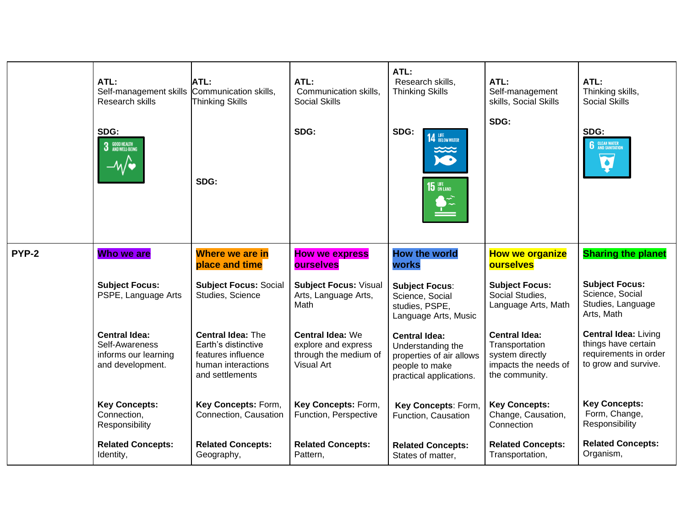|       | ATL:<br>Self-management skills<br>Research skills<br>SDG:<br><b>3</b> GOOD HEALTH<br><b>3</b> AND WELL-BEING | ATL:<br>Communication skills,<br><b>Thinking Skills</b>                                                        | ATL:<br>Communication skills,<br>Social Skills<br>SDG:                                | ATL:<br>Research skills,<br><b>Thinking Skills</b><br>SDG:<br><b>14 BELOW WATER</b>                                | ATL:<br>Self-management<br>skills, Social Skills<br>SDG:                                            | ATL:<br>Thinking skills,<br>Social Skills<br>SDG:<br><b>6</b> CLEAN WATER                           |
|-------|--------------------------------------------------------------------------------------------------------------|----------------------------------------------------------------------------------------------------------------|---------------------------------------------------------------------------------------|--------------------------------------------------------------------------------------------------------------------|-----------------------------------------------------------------------------------------------------|-----------------------------------------------------------------------------------------------------|
|       |                                                                                                              | SDG:                                                                                                           |                                                                                       | $15$ $\frac{UFE}{ON LAND}$<br>$\bullet \tilde{ }$                                                                  |                                                                                                     |                                                                                                     |
| PYP-2 | Who we are                                                                                                   | Where we are in<br>place and time                                                                              | <b>How we express</b><br><b>ourselves</b>                                             | <b>How the world</b><br>works                                                                                      | <b>How we organize</b><br><b>ourselves</b>                                                          | <b>Sharing the planet</b>                                                                           |
|       | <b>Subject Focus:</b><br>PSPE, Language Arts                                                                 | <b>Subject Focus: Social</b><br>Studies, Science                                                               | <b>Subject Focus: Visual</b><br>Arts, Language Arts,<br>Math                          | <b>Subject Focus:</b><br>Science, Social<br>studies, PSPE,<br>Language Arts, Music                                 | <b>Subject Focus:</b><br>Social Studies,<br>Language Arts, Math                                     | <b>Subject Focus:</b><br>Science, Social<br>Studies, Language<br>Arts, Math                         |
|       | <b>Central Idea:</b><br>Self-Awareness<br>informs our learning<br>and development.                           | <b>Central Idea: The</b><br>Earth's distinctive<br>features influence<br>human interactions<br>and settlements | <b>Central Idea: We</b><br>explore and express<br>through the medium of<br>Visual Art | <b>Central Idea:</b><br>Understanding the<br>properties of air allows<br>people to make<br>practical applications. | <b>Central Idea:</b><br>Transportation<br>system directly<br>impacts the needs of<br>the community. | <b>Central Idea: Living</b><br>things have certain<br>requirements in order<br>to grow and survive. |
|       | <b>Key Concepts:</b><br>Connection,<br>Responsibility                                                        | Key Concepts: Form,<br>Connection, Causation                                                                   | Key Concepts: Form,<br>Function, Perspective                                          | Key Concepts: Form,<br>Function, Causation                                                                         | <b>Key Concepts:</b><br>Change, Causation,<br>Connection                                            | <b>Key Concepts:</b><br>Form, Change,<br>Responsibility                                             |
|       | <b>Related Concepts:</b><br>Identity,                                                                        | <b>Related Concepts:</b><br>Geography,                                                                         | <b>Related Concepts:</b><br>Pattern,                                                  | <b>Related Concepts:</b><br>States of matter,                                                                      | <b>Related Concepts:</b><br>Transportation,                                                         | <b>Related Concepts:</b><br>Organism,                                                               |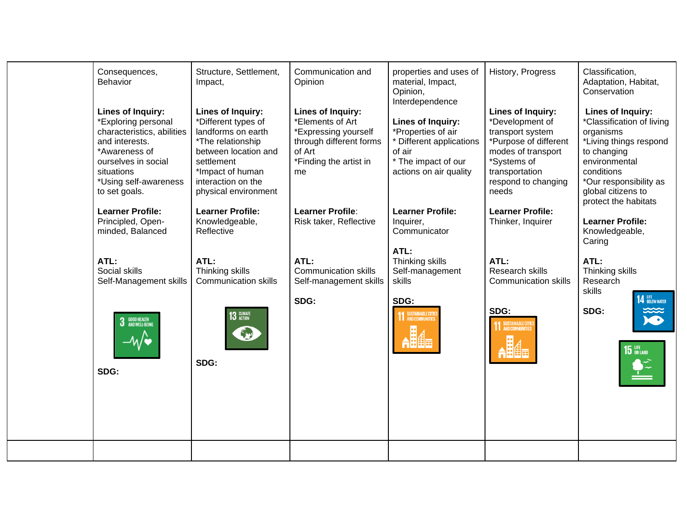| Consequences,<br>Behavior<br>Lines of Inquiry:<br>*Exploring personal<br>characteristics, abilities<br>and interests.<br>*Awareness of<br>ourselves in social<br>situations<br>*Using self-awareness | Structure, Settlement,<br>Impact,<br>Lines of Inquiry:<br>*Different types of<br>landforms on earth<br>*The relationship<br>between location and<br>settlement<br>*Impact of human<br>interaction on the | Communication and<br>Opinion<br><b>Lines of Inquiry:</b><br>*Elements of Art<br>*Expressing yourself<br>through different forms<br>of Art<br>*Finding the artist in<br>me | properties and uses of<br>material, Impact,<br>Opinion,<br>Interdependence<br>Lines of Inquiry:<br>*Properties of air<br>* Different applications<br>of air<br>* The impact of our<br>actions on air quality | History, Progress<br>Lines of Inquiry:<br>*Development of<br>transport system<br>*Purpose of different<br>modes of transport<br>*Systems of<br>transportation<br>respond to changing | Classification,<br>Adaptation, Habitat,<br>Conservation<br><b>Lines of Inquiry:</b><br>*Classification of living<br>organisms<br>*Living things respond<br>to changing<br>environmental<br>conditions<br>*Our responsibility as |
|------------------------------------------------------------------------------------------------------------------------------------------------------------------------------------------------------|----------------------------------------------------------------------------------------------------------------------------------------------------------------------------------------------------------|---------------------------------------------------------------------------------------------------------------------------------------------------------------------------|--------------------------------------------------------------------------------------------------------------------------------------------------------------------------------------------------------------|--------------------------------------------------------------------------------------------------------------------------------------------------------------------------------------|---------------------------------------------------------------------------------------------------------------------------------------------------------------------------------------------------------------------------------|
| to set goals.<br><b>Learner Profile:</b><br>Principled, Open-<br>minded, Balanced                                                                                                                    | physical environment<br><b>Learner Profile:</b><br>Knowledgeable,<br>Reflective                                                                                                                          | <b>Learner Profile:</b><br>Risk taker, Reflective                                                                                                                         | <b>Learner Profile:</b><br>Inquirer,<br>Communicator                                                                                                                                                         | needs<br><b>Learner Profile:</b><br>Thinker, Inquirer                                                                                                                                | global citizens to<br>protect the habitats<br><b>Learner Profile:</b><br>Knowledgeable,                                                                                                                                         |
| ATL:<br>Social skills<br>Self-Management skills                                                                                                                                                      | ATL:<br>Thinking skills<br><b>Communication skills</b>                                                                                                                                                   | ATL:<br><b>Communication skills</b><br>Self-management skills                                                                                                             | ATL:<br>Thinking skills<br>Self-management<br>skills                                                                                                                                                         | ATL:<br>Research skills<br><b>Communication skills</b>                                                                                                                               | Caring<br>ATL:<br>Thinking skills<br>Research<br>skills                                                                                                                                                                         |
| <b>3</b> GOOD HEALTH<br>SDG:                                                                                                                                                                         | 13 CLIMATE<br>ENS<br>SDG:                                                                                                                                                                                | SDG:                                                                                                                                                                      | SDG:<br><b>11 SUSTAINABLE CITIES</b>                                                                                                                                                                         | SDG:<br><b>11 SUSTAINABLE CITIES</b>                                                                                                                                                 | <b>14 LIFE</b> BELOW WATER<br>X<br>SDG:<br>$15$ $\frac{1}{6}$ on land                                                                                                                                                           |
|                                                                                                                                                                                                      |                                                                                                                                                                                                          |                                                                                                                                                                           |                                                                                                                                                                                                              |                                                                                                                                                                                      |                                                                                                                                                                                                                                 |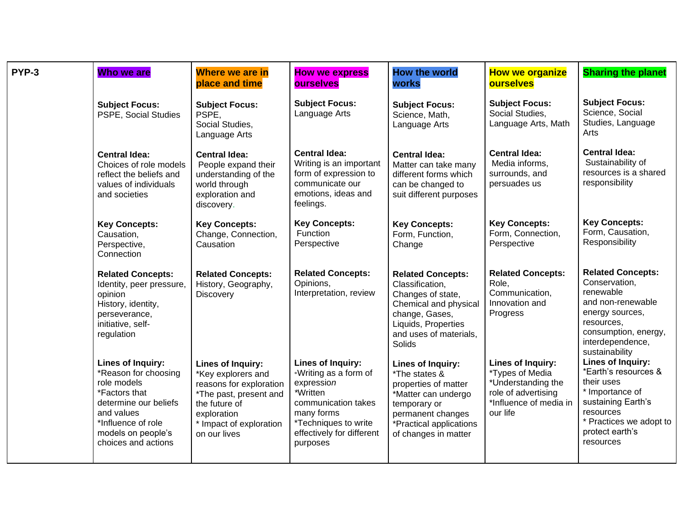| PYP-3 | Who we are                                                                                                                                                                          | Where we are in<br>place and time                                                                                                                                       | <b>How we express</b><br><b>ourselves</b>                                                                                                                                  | <b>How the world</b><br><b>works</b>                                                                                                                                             | <b>How we organize</b><br><b>ourselves</b>                                                                              | <b>Sharing the planet</b>                                                                                                                                                  |
|-------|-------------------------------------------------------------------------------------------------------------------------------------------------------------------------------------|-------------------------------------------------------------------------------------------------------------------------------------------------------------------------|----------------------------------------------------------------------------------------------------------------------------------------------------------------------------|----------------------------------------------------------------------------------------------------------------------------------------------------------------------------------|-------------------------------------------------------------------------------------------------------------------------|----------------------------------------------------------------------------------------------------------------------------------------------------------------------------|
|       | <b>Subject Focus:</b><br>PSPE, Social Studies                                                                                                                                       | <b>Subject Focus:</b><br>PSPE,<br>Social Studies,<br>Language Arts                                                                                                      | <b>Subject Focus:</b><br>Language Arts                                                                                                                                     | <b>Subject Focus:</b><br>Science, Math,<br>Language Arts                                                                                                                         | <b>Subject Focus:</b><br>Social Studies,<br>Language Arts, Math                                                         | <b>Subject Focus:</b><br>Science, Social<br>Studies, Language<br>Arts                                                                                                      |
|       | <b>Central Idea:</b><br>Choices of role models<br>reflect the beliefs and<br>values of individuals<br>and societies                                                                 | <b>Central Idea:</b><br>People expand their<br>understanding of the<br>world through<br>exploration and<br>discovery.                                                   | <b>Central Idea:</b><br>Writing is an important<br>form of expression to<br>communicate our<br>emotions, ideas and<br>feelings.                                            | <b>Central Idea:</b><br>Matter can take many<br>different forms which<br>can be changed to<br>suit different purposes                                                            | <b>Central Idea:</b><br>Media informs,<br>surrounds, and<br>persuades us                                                | <b>Central Idea:</b><br>Sustainability of<br>resources is a shared<br>responsibility                                                                                       |
|       | <b>Key Concepts:</b><br>Causation,<br>Perspective,<br>Connection                                                                                                                    | <b>Key Concepts:</b><br>Change, Connection,<br>Causation                                                                                                                | <b>Key Concepts:</b><br>Function<br>Perspective                                                                                                                            | <b>Key Concepts:</b><br>Form, Function,<br>Change                                                                                                                                | <b>Key Concepts:</b><br>Form, Connection,<br>Perspective                                                                | <b>Key Concepts:</b><br>Form, Causation,<br>Responsibility                                                                                                                 |
|       | <b>Related Concepts:</b><br>Identity, peer pressure,<br>opinion<br>History, identity,<br>perseverance,<br>initiative, self-<br>regulation                                           | <b>Related Concepts:</b><br>History, Geography,<br><b>Discovery</b>                                                                                                     | <b>Related Concepts:</b><br>Opinions,<br>Interpretation, review                                                                                                            | <b>Related Concepts:</b><br>Classification,<br>Changes of state,<br>Chemical and physical<br>change, Gases,<br>Liquids, Properties<br>and uses of materials,<br>Solids           | <b>Related Concepts:</b><br>Role,<br>Communication,<br>Innovation and<br>Progress                                       | <b>Related Concepts:</b><br>Conservation,<br>renewable<br>and non-renewable<br>energy sources,<br>resources,<br>consumption, energy,<br>interdependence,<br>sustainability |
|       | Lines of Inquiry:<br>*Reason for choosing<br>role models<br>*Factors that<br>determine our beliefs<br>and values<br>*Influence of role<br>models on people's<br>choices and actions | Lines of Inquiry:<br>*Key explorers and<br>reasons for exploration<br>*The past, present and<br>the future of<br>exploration<br>* Impact of exploration<br>on our lives | Lines of Inquiry:<br>*Writing as a form of<br>expression<br>*Written<br>communication takes<br>many forms<br>*Techniques to write<br>effectively for different<br>purposes | <b>Lines of Inquiry:</b><br>*The states &<br>properties of matter<br>*Matter can undergo<br>temporary or<br>permanent changes<br>*Practical applications<br>of changes in matter | Lines of Inquiry:<br>*Types of Media<br>*Understanding the<br>role of advertising<br>*Influence of media in<br>our life | Lines of Inquiry:<br>*Earth's resources &<br>their uses<br>* Importance of<br>sustaining Earth's<br>resources<br>* Practices we adopt to<br>protect earth's<br>resources   |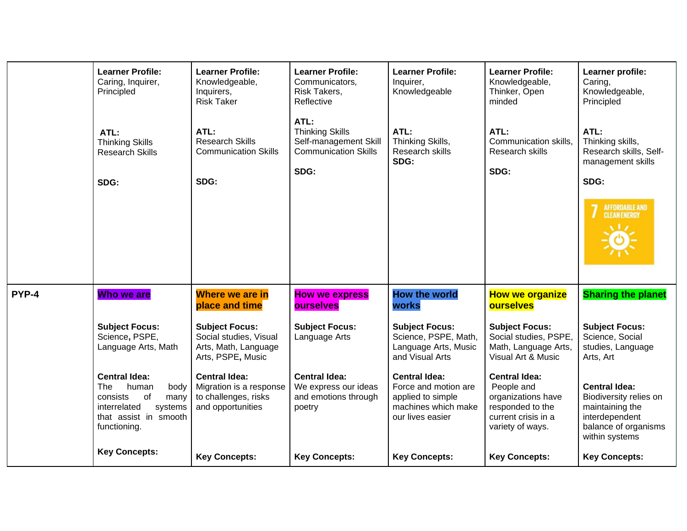|       | <b>Learner Profile:</b><br>Caring, Inquirer,<br>Principled                                                                                 | <b>Learner Profile:</b><br>Knowledgeable,<br>Inquirers,<br><b>Risk Taker</b>                 | <b>Learner Profile:</b><br>Communicators,<br>Risk Takers,<br>Reflective                        | <b>Learner Profile:</b><br>Inquirer,<br>Knowledgeable                                                        | <b>Learner Profile:</b><br>Knowledgeable,<br>Thinker, Open<br>minded                                                    | Learner profile:<br>Caring,<br>Knowledgeable,<br>Principled                                                                   |
|-------|--------------------------------------------------------------------------------------------------------------------------------------------|----------------------------------------------------------------------------------------------|------------------------------------------------------------------------------------------------|--------------------------------------------------------------------------------------------------------------|-------------------------------------------------------------------------------------------------------------------------|-------------------------------------------------------------------------------------------------------------------------------|
|       | ATL:<br><b>Thinking Skills</b><br><b>Research Skills</b><br>SDG:                                                                           | ATL:<br><b>Research Skills</b><br><b>Communication Skills</b><br>SDG:                        | ATL:<br><b>Thinking Skills</b><br>Self-management Skill<br><b>Communication Skills</b><br>SDG: | ATL:<br>Thinking Skills,<br>Research skills<br>SDG:                                                          | ATL:<br>Communication skills,<br>Research skills<br>SDG:                                                                | ATL:<br>Thinking skills,<br>Research skills, Self-<br>management skills<br>SDG:                                               |
|       |                                                                                                                                            |                                                                                              |                                                                                                |                                                                                                              |                                                                                                                         | <b>AFFORDABLE AND</b><br><b>CLEAN ENERGY</b>                                                                                  |
| PYP-4 | Who we are                                                                                                                                 | <b>Where we are in</b><br>place and time                                                     | <b>How we express</b><br><b>ourselves</b>                                                      | <b>How the world</b><br>works                                                                                | <b>How we organize</b><br><b>ourselves</b>                                                                              | <b>Sharing the planet</b>                                                                                                     |
|       | <b>Subject Focus:</b><br>Science, PSPE,<br>Language Arts, Math                                                                             | <b>Subject Focus:</b><br>Social studies, Visual<br>Arts, Math, Language<br>Arts, PSPE, Music | <b>Subject Focus:</b><br>Language Arts                                                         | <b>Subject Focus:</b><br>Science, PSPE, Math,<br>Language Arts, Music<br>and Visual Arts                     | <b>Subject Focus:</b><br>Social studies, PSPE,<br>Math, Language Arts,<br>Visual Art & Music                            | <b>Subject Focus:</b><br>Science, Social<br>studies, Language<br>Arts, Art                                                    |
|       | <b>Central Idea:</b><br>The<br>human<br>body<br>consists<br>of<br>many<br>interrelated<br>systems<br>that assist in smooth<br>functioning. | <b>Central Idea:</b><br>Migration is a response<br>to challenges, risks<br>and opportunities | <b>Central Idea:</b><br>We express our ideas<br>and emotions through<br>poetry                 | <b>Central Idea:</b><br>Force and motion are<br>applied to simple<br>machines which make<br>our lives easier | <b>Central Idea:</b><br>People and<br>organizations have<br>responded to the<br>current crisis in a<br>variety of ways. | <b>Central Idea:</b><br>Biodiversity relies on<br>maintaining the<br>interdependent<br>balance of organisms<br>within systems |
|       | <b>Key Concepts:</b>                                                                                                                       | <b>Key Concepts:</b>                                                                         | <b>Key Concepts:</b>                                                                           | <b>Key Concepts:</b>                                                                                         | <b>Key Concepts:</b>                                                                                                    | <b>Key Concepts:</b>                                                                                                          |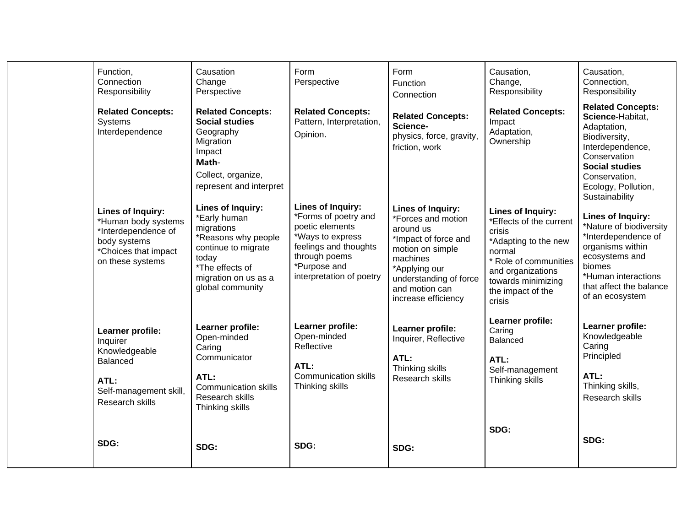| Function,<br>Connection<br>Responsibility                                                                                    | Causation<br>Change<br>Perspective                                                                                                                                    | Form<br>Perspective                                                                                                                                                    | Form<br>Function<br>Connection                                                                                                                                                                          | Causation,<br>Change,<br>Responsibility                                                                                                                                                            | Causation,<br>Connection,<br>Responsibility                                                                                                                                                         |
|------------------------------------------------------------------------------------------------------------------------------|-----------------------------------------------------------------------------------------------------------------------------------------------------------------------|------------------------------------------------------------------------------------------------------------------------------------------------------------------------|---------------------------------------------------------------------------------------------------------------------------------------------------------------------------------------------------------|----------------------------------------------------------------------------------------------------------------------------------------------------------------------------------------------------|-----------------------------------------------------------------------------------------------------------------------------------------------------------------------------------------------------|
| <b>Related Concepts:</b><br>Systems<br>Interdependence                                                                       | <b>Related Concepts:</b><br><b>Social studies</b><br>Geography<br>Migration<br>Impact<br>Math-<br>Collect, organize,<br>represent and interpret                       | <b>Related Concepts:</b><br>Pattern, Interpretation,<br>Opinion.                                                                                                       | <b>Related Concepts:</b><br>Science-<br>physics, force, gravity,<br>friction, work                                                                                                                      | <b>Related Concepts:</b><br>Impact<br>Adaptation,<br>Ownership                                                                                                                                     | <b>Related Concepts:</b><br>Science-Habitat,<br>Adaptation,<br>Biodiversity,<br>Interdependence,<br>Conservation<br><b>Social studies</b><br>Conservation,<br>Ecology, Pollution,<br>Sustainability |
| Lines of Inquiry:<br>*Human body systems<br>*Interdependence of<br>body systems<br>*Choices that impact<br>on these systems  | Lines of Inquiry:<br>*Early human<br>migrations<br>*Reasons why people<br>continue to migrate<br>today<br>*The effects of<br>migration on us as a<br>global community | Lines of Inquiry:<br>*Forms of poetry and<br>poetic elements<br>*Ways to express<br>feelings and thoughts<br>through poems<br>*Purpose and<br>interpretation of poetry | <b>Lines of Inquiry:</b><br>*Forces and motion<br>around us<br>*Impact of force and<br>motion on simple<br>machines<br>*Applying our<br>understanding of force<br>and motion can<br>increase efficiency | <b>Lines of Inquiry:</b><br>*Effects of the current<br>crisis<br>*Adapting to the new<br>normal<br>* Role of communities<br>and organizations<br>towards minimizing<br>the impact of the<br>crisis | Lines of Inquiry:<br>*Nature of biodiversity<br>*Interdependence of<br>organisms within<br>ecosystems and<br>biomes<br>*Human interactions<br>that affect the balance<br>of an ecosystem            |
| Learner profile:<br>Inquirer<br>Knowledgeable<br><b>Balanced</b><br>ATL:<br>Self-management skill,<br><b>Research skills</b> | Learner profile:<br>Open-minded<br>Caring<br>Communicator<br>ATL:<br><b>Communication skills</b><br>Research skills<br>Thinking skills                                | Learner profile:<br>Open-minded<br>Reflective<br>ATL:<br><b>Communication skills</b><br>Thinking skills                                                                | Learner profile:<br>Inquirer, Reflective<br>ATL:<br>Thinking skills<br>Research skills                                                                                                                  | Learner profile:<br>Caring<br>Balanced<br>ATL:<br>Self-management<br>Thinking skills                                                                                                               | Learner profile:<br>Knowledgeable<br>Caring<br>Principled<br>ATL:<br>Thinking skills,<br>Research skills                                                                                            |
| SDG:                                                                                                                         | SDG:                                                                                                                                                                  | SDG:                                                                                                                                                                   | SDG:                                                                                                                                                                                                    | SDG:                                                                                                                                                                                               | SDG:                                                                                                                                                                                                |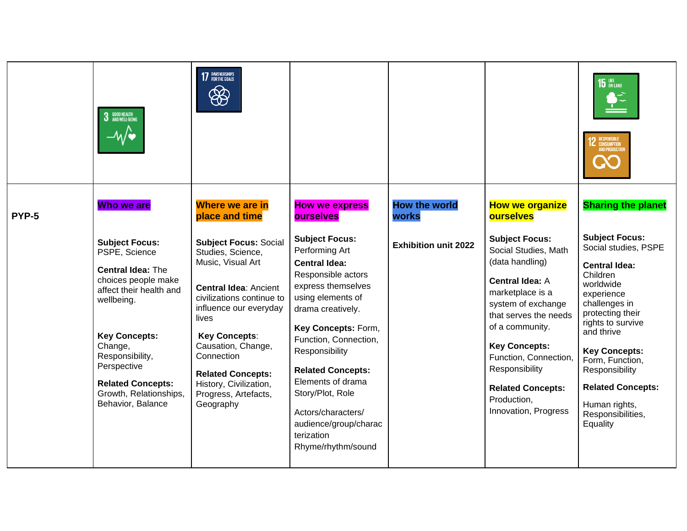|       | GOOD HEALTH<br>And Well-Being                                                                                                                                                                                                                                                      | 7 PARTNERSHIPS<br>$\bigcirc$                                                                                                                                                                                                                                                                                                  |                                                                                                                                                                                                                                                                                                                                                                                 |                               |                                                                                                                                                                                                                                                                                                                        | $15$ on land<br>2 RESPONSIBLE<br><b>AND PRODUCTI</b>                                                                                                                                                                                                                                                                            |
|-------|------------------------------------------------------------------------------------------------------------------------------------------------------------------------------------------------------------------------------------------------------------------------------------|-------------------------------------------------------------------------------------------------------------------------------------------------------------------------------------------------------------------------------------------------------------------------------------------------------------------------------|---------------------------------------------------------------------------------------------------------------------------------------------------------------------------------------------------------------------------------------------------------------------------------------------------------------------------------------------------------------------------------|-------------------------------|------------------------------------------------------------------------------------------------------------------------------------------------------------------------------------------------------------------------------------------------------------------------------------------------------------------------|---------------------------------------------------------------------------------------------------------------------------------------------------------------------------------------------------------------------------------------------------------------------------------------------------------------------------------|
| PYP-5 | Who we are                                                                                                                                                                                                                                                                         | <b>Where we are in</b><br>place and time                                                                                                                                                                                                                                                                                      | <b>How we express</b><br><b>ourselves</b>                                                                                                                                                                                                                                                                                                                                       | <b>How the world</b><br>works | <b>How we organize</b><br><b>ourselves</b>                                                                                                                                                                                                                                                                             | <b>Sharing the planet</b>                                                                                                                                                                                                                                                                                                       |
|       | <b>Subject Focus:</b><br>PSPE, Science<br><b>Central Idea: The</b><br>choices people make<br>affect their health and<br>wellbeing.<br><b>Key Concepts:</b><br>Change,<br>Responsibility,<br>Perspective<br><b>Related Concepts:</b><br>Growth, Relationships,<br>Behavior, Balance | <b>Subject Focus: Social</b><br>Studies, Science,<br>Music, Visual Art<br><b>Central Idea: Ancient</b><br>civilizations continue to<br>influence our everyday<br>lives<br><b>Key Concepts:</b><br>Causation, Change,<br>Connection<br><b>Related Concepts:</b><br>History, Civilization,<br>Progress, Artefacts,<br>Geography | <b>Subject Focus:</b><br>Performing Art<br><b>Central Idea:</b><br>Responsible actors<br>express themselves<br>using elements of<br>drama creatively.<br>Key Concepts: Form,<br>Function, Connection,<br>Responsibility<br><b>Related Concepts:</b><br>Elements of drama<br>Story/Plot, Role<br>Actors/characters/<br>audience/group/charac<br>terization<br>Rhyme/rhythm/sound | <b>Exhibition unit 2022</b>   | <b>Subject Focus:</b><br>Social Studies, Math<br>(data handling)<br><b>Central Idea: A</b><br>marketplace is a<br>system of exchange<br>that serves the needs<br>of a community.<br><b>Key Concepts:</b><br>Function, Connection,<br>Responsibility<br><b>Related Concepts:</b><br>Production,<br>Innovation, Progress | <b>Subject Focus:</b><br>Social studies, PSPE<br><b>Central Idea:</b><br>Children<br>worldwide<br>experience<br>challenges in<br>protecting their<br>rights to survive<br>and thrive<br><b>Key Concepts:</b><br>Form, Function,<br>Responsibility<br><b>Related Concepts:</b><br>Human rights,<br>Responsibilities,<br>Equality |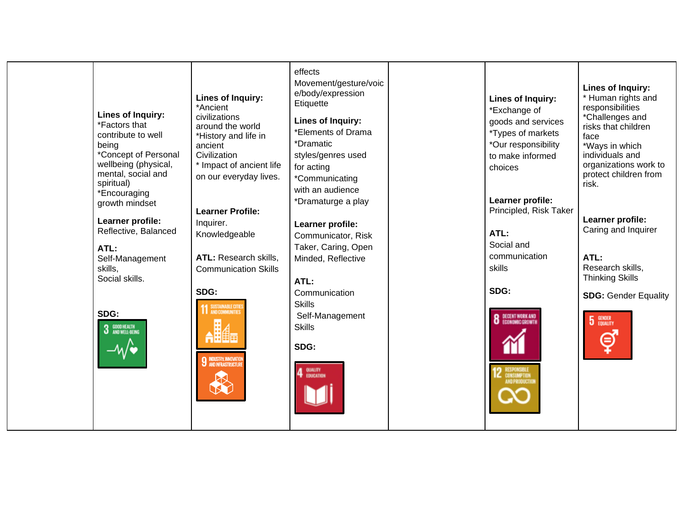| <b>Lines of Inquiry:</b><br>*Factors that<br>contribute to well<br>being<br>*Concept of Personal<br>wellbeing (physical,<br>mental, social and<br>spiritual)<br>*Encouraging<br>growth mindset<br>Learner profile:<br>Reflective, Balanced<br>ATL:<br>Self-Management<br>skills,<br>Social skills.<br>SDG:<br>GOOD HEALTH<br>AND WELL-BEING | Lines of Inquiry:<br>*Ancient<br>civilizations<br>around the world<br>*History and life in<br>ancient<br>Civilization<br>* Impact of ancient life<br>on our everyday lives.<br><b>Learner Profile:</b><br>Inquirer.<br>Knowledgeable<br>ATL: Research skills,<br><b>Communication Skills</b><br>SDG:<br>SUSTAINABLE CITY<br>AND COMMUNITIES<br><b>9 INDUSTRY, INNOVATIO</b><br>AND INFRASTRUCTUR | effects<br>Movement/gesture/voic<br>e/body/expression<br>Etiquette<br><b>Lines of Inquiry:</b><br>*Elements of Drama<br>*Dramatic<br>styles/genres used<br>for acting<br>*Communicating<br>with an audience<br>*Dramaturge a play<br>Learner profile:<br>Communicator, Risk<br>Taker, Caring, Open<br>Minded, Reflective<br>ATL:<br>Communication<br><b>Skills</b><br>Self-Management<br><b>Skills</b><br>SDG:<br>QUALITY<br>EDUCATION |  | Lines of Inquiry:<br>*Exchange of<br>goods and services<br>*Types of markets<br>*Our responsibility<br>to make informed<br>choices<br>Learner profile:<br>Principled, Risk Taker<br>ATL:<br>Social and<br>communication<br>skills<br>SDG:<br><b>8</b> DECENT WORK AND<br>RESPONSIBLE<br>Consumption<br>Andproductio | Lines of Inquiry:<br>* Human rights and<br>responsibilities<br>*Challenges and<br>risks that children<br>face<br>*Ways in which<br>individuals and<br>organizations work to<br>protect children from<br>risk.<br>Learner profile:<br>Caring and Inquirer<br>ATL:<br>Research skills,<br><b>Thinking Skills</b><br><b>SDG: Gender Equality</b><br>5<br>GENDER<br>EQUALITY |
|---------------------------------------------------------------------------------------------------------------------------------------------------------------------------------------------------------------------------------------------------------------------------------------------------------------------------------------------|--------------------------------------------------------------------------------------------------------------------------------------------------------------------------------------------------------------------------------------------------------------------------------------------------------------------------------------------------------------------------------------------------|----------------------------------------------------------------------------------------------------------------------------------------------------------------------------------------------------------------------------------------------------------------------------------------------------------------------------------------------------------------------------------------------------------------------------------------|--|---------------------------------------------------------------------------------------------------------------------------------------------------------------------------------------------------------------------------------------------------------------------------------------------------------------------|--------------------------------------------------------------------------------------------------------------------------------------------------------------------------------------------------------------------------------------------------------------------------------------------------------------------------------------------------------------------------|
|---------------------------------------------------------------------------------------------------------------------------------------------------------------------------------------------------------------------------------------------------------------------------------------------------------------------------------------------|--------------------------------------------------------------------------------------------------------------------------------------------------------------------------------------------------------------------------------------------------------------------------------------------------------------------------------------------------------------------------------------------------|----------------------------------------------------------------------------------------------------------------------------------------------------------------------------------------------------------------------------------------------------------------------------------------------------------------------------------------------------------------------------------------------------------------------------------------|--|---------------------------------------------------------------------------------------------------------------------------------------------------------------------------------------------------------------------------------------------------------------------------------------------------------------------|--------------------------------------------------------------------------------------------------------------------------------------------------------------------------------------------------------------------------------------------------------------------------------------------------------------------------------------------------------------------------|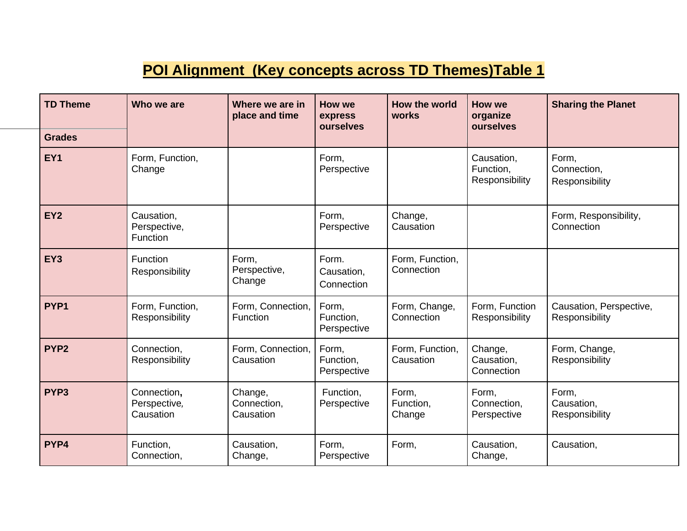#### **POI Alignment (Key concepts across TD Themes)Table 1**

| <b>TD Theme</b>  | Who we are                                    | Where we are in<br>place and time   | How we<br>express<br>ourselves    | How the world<br>works        | How we<br>organize<br>ourselves           | <b>Sharing the Planet</b>                 |
|------------------|-----------------------------------------------|-------------------------------------|-----------------------------------|-------------------------------|-------------------------------------------|-------------------------------------------|
| <b>Grades</b>    |                                               |                                     |                                   |                               |                                           |                                           |
| EY1              | Form, Function,<br>Change                     |                                     | Form,<br>Perspective              |                               | Causation,<br>Function,<br>Responsibility | Form,<br>Connection,<br>Responsibility    |
| EY <sub>2</sub>  | Causation,<br>Perspective,<br><b>Function</b> |                                     | Form,<br>Perspective              | Change,<br>Causation          |                                           | Form, Responsibility,<br>Connection       |
| EY3              | Function<br>Responsibility                    | Form,<br>Perspective,<br>Change     | Form.<br>Causation,<br>Connection | Form, Function,<br>Connection |                                           |                                           |
| PYP <sub>1</sub> | Form, Function,<br>Responsibility             | Form, Connection,<br>Function       | Form,<br>Function,<br>Perspective | Form, Change,<br>Connection   | Form, Function<br>Responsibility          | Causation, Perspective,<br>Responsibility |
| PYP <sub>2</sub> | Connection,<br>Responsibility                 | Form, Connection,<br>Causation      | Form,<br>Function,<br>Perspective | Form, Function,<br>Causation  | Change,<br>Causation,<br>Connection       | Form, Change,<br>Responsibility           |
| PYP <sub>3</sub> | Connection,<br>Perspective,<br>Causation      | Change,<br>Connection,<br>Causation | Function,<br>Perspective          | Form,<br>Function,<br>Change  | Form,<br>Connection,<br>Perspective       | Form,<br>Causation,<br>Responsibility     |
| PYP4             | Function,<br>Connection,                      | Causation,<br>Change,               | Form,<br>Perspective              | Form,                         | Causation,<br>Change,                     | Causation,                                |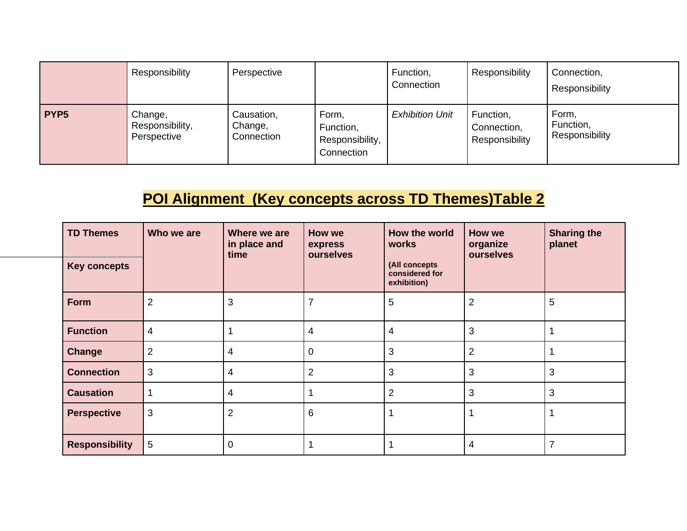|                  | Responsibility                            | Perspective                         |                                                     | Function,<br>Connection | Responsibility                             | Connection,<br>Responsibility        |
|------------------|-------------------------------------------|-------------------------------------|-----------------------------------------------------|-------------------------|--------------------------------------------|--------------------------------------|
| PYP <sub>5</sub> | Change,<br>Responsibility,<br>Perspective | Causation,<br>Change,<br>Connection | Form,<br>Function,<br>Responsibility,<br>Connection | <b>Exhibition Unit</b>  | Function,<br>Connection,<br>Responsibility | Form,<br>Function,<br>Responsibility |

## **POI Alignment (Key concepts across TD Themes)Table 2**

| <b>TD Themes</b>      | Who we are     | Where we are<br>in place and<br>time | How we<br>express<br>ourselves | How the world<br>works                         | How we<br>organize<br>ourselves | <b>Sharing the</b><br>planet |
|-----------------------|----------------|--------------------------------------|--------------------------------|------------------------------------------------|---------------------------------|------------------------------|
| <b>Key concepts</b>   |                |                                      |                                | (All concepts<br>considered for<br>exhibition) |                                 |                              |
| Form                  | $\overline{2}$ | 3                                    |                                | 5                                              | $\overline{2}$                  | 5                            |
| <b>Function</b>       | 4              |                                      | 4                              | 4                                              | 3                               |                              |
| Change                | $\overline{2}$ | 4                                    | 0                              | 3                                              | $\overline{2}$                  |                              |
| <b>Connection</b>     | 3              | $\overline{4}$                       | 2                              | 3                                              | 3                               | 3                            |
| <b>Causation</b>      |                | 4                                    |                                | $\overline{2}$                                 | 3                               | 3                            |
| <b>Perspective</b>    | 3              | $\overline{2}$                       | 6                              |                                                | 1                               |                              |
| <b>Responsibility</b> | 5              | $\mathbf 0$                          |                                |                                                | 4                               | $\overline{7}$               |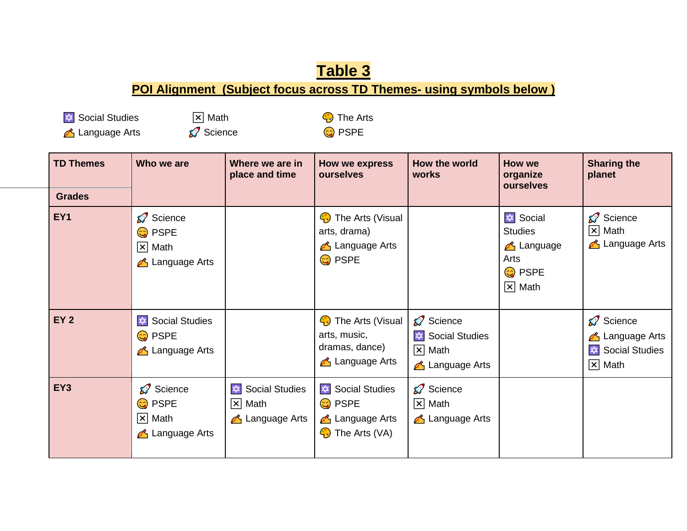#### **Table 3 POI Alignment (Subject focus across TD Themes- using symbols below )**

**★** Social Studies **z** Math **The Arts** 

A Language Arts Science C PSPE

| <b>TD Themes</b><br><b>Grades</b> | Who we are                                                                      | Where we are in<br>place and time                               | How we express<br>ourselves                                                                | How the world<br>works                                                     | <b>How we</b><br>organize<br>ourselves                                                                       | <b>Sharing the</b><br>planet                                                           |
|-----------------------------------|---------------------------------------------------------------------------------|-----------------------------------------------------------------|--------------------------------------------------------------------------------------------|----------------------------------------------------------------------------|--------------------------------------------------------------------------------------------------------------|----------------------------------------------------------------------------------------|
| EY <sub>1</sub>                   | Science<br><mark>ු</mark> PSPE<br>$ \mathsf{x} $ Math<br><b>△</b> Language Arts |                                                                 | <b>C</b> The Arts (Visual<br>arts, drama)<br><b>A</b> Language Arts<br><mark>ු</mark> PSPE |                                                                            | <b>I</b> Social<br><b>Studies</b><br><b>A</b> Language<br>Arts<br><mark>ු</mark> PSPE<br>$ \mathsf{x} $ Math | Science<br>$\overline{x}$ Math<br><b>△</b> Language Arts                               |
| <b>EY 2</b>                       | Social Studies<br><mark>ා</mark> PSPE<br><b>A</b> Language Arts                 |                                                                 | <b>4</b> The Arts (Visual<br>arts, music,<br>dramas, dance)<br><b>A</b> Language Arts      | Science<br>Social Studies<br>$ \mathsf{x} $ Math<br><b>A</b> Language Arts |                                                                                                              | Science<br><b>△</b> Language Arts<br><b>Social Studies</b><br>✿<br>$ \mathsf{x} $ Math |
| EY3                               | Science<br><mark>ු</mark> PSPE<br>$ \mathsf{x} $ Math<br><b>A</b> Language Arts | Social Studies<br>$ \mathsf{x} $ Math<br><b>A</b> Language Arts | Social Studies<br><mark>ු</mark> PSPE<br><b>A</b> Language Arts<br><b>C</b> The Arts (VA)  | Science<br>$ \mathsf{x} $ Math<br><b>A</b> Language Arts                   |                                                                                                              |                                                                                        |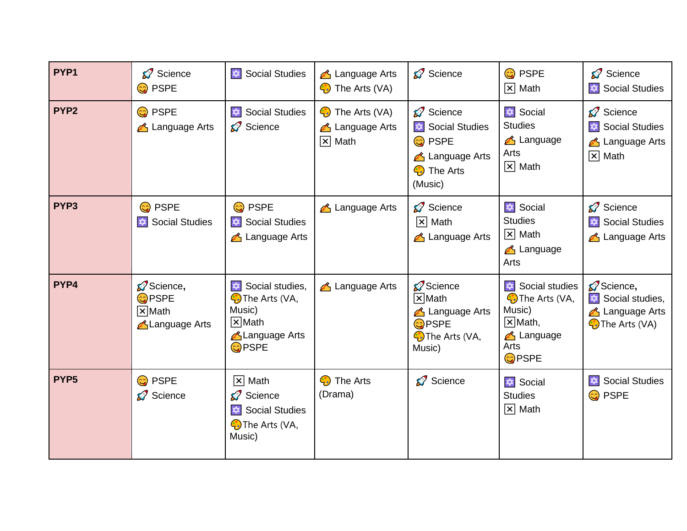| PYP1             | Science<br><mark>ා</mark> PSPE                                    | Social Studies                                                                                                      | Language Arts<br><b>C</b> The Arts (VA)                                       | Science                                                                                           | <mark>ු</mark> PSPE<br>$ \mathsf{x} $ Math                                                                                   | Science<br>Social Studies                                                                            |
|------------------|-------------------------------------------------------------------|---------------------------------------------------------------------------------------------------------------------|-------------------------------------------------------------------------------|---------------------------------------------------------------------------------------------------|------------------------------------------------------------------------------------------------------------------------------|------------------------------------------------------------------------------------------------------|
| PYP <sub>2</sub> | <mark>ා</mark> PSPE<br><b>A</b> Language Arts                     | Social Studies<br>Science                                                                                           | <b>C</b> The Arts (VA)<br><b>A</b> Language Arts<br>$\boxed{\mathsf{x}}$ Math | Science<br>Social Studies<br><mark>ා</mark> PSPE<br>Language Arts<br><b>C</b> The Arts<br>(Music) | Social<br><b>Studies</b><br><b>A</b> Language<br>Arts<br>$\boxed{\mathsf{x}}$ Math                                           | Science<br>Social Studies<br><b>A</b> Language Arts<br>$ \mathsf{x} $ Math                           |
| PYP <sub>3</sub> | <mark>ු</mark> PSPE<br><b>Social Studies</b><br>本                 | <mark>ු</mark> PSPE<br>Social Studies<br><b>A</b> Language Arts                                                     | <b>A</b> Language Arts                                                        | Science<br>$ \mathsf{x} $ Math<br><b>A</b> Language Arts                                          | <b>I</b> Social<br><b>Studies</b><br>$ \mathsf{x} $ Math<br><b>A</b> Language<br>Arts                                        | Science<br>Social Studies<br><b>A</b> Language Arts                                                  |
| PYP4             | Science,<br><b>O</b> PSPE<br>$ \mathsf{X} $ Math<br>Language Arts | Social studies,<br><b>C</b> ) The Arts (VA,<br>Music)<br>$\sqrt{\mathsf{x}}$ Math<br>Language Arts<br><b>O</b> PSPE | <b>A</b> Language Arts                                                        | Science<br>$\sqrt{X}$ Math<br>Language Arts<br><b>OPSPE</b><br><b>C</b> ) The Arts (VA,<br>Music) | Social studies<br><b>C</b> The Arts (VA,<br>Music)<br>$ \mathsf{x} $ Math,<br><b>A</b> Language<br>Arts<br>C <sub>PSPE</sub> | Science,<br>$\big  \mathbf{\Phi} \big $ Social studies,<br>Language Arts<br><b>C</b> ) The Arts (VA) |
| PYP <sub>5</sub> | <mark>ා</mark> PSPE<br>Science                                    | $ \mathsf{x} $ Math<br>Science<br>Social Studies<br><b>O</b> The Arts (VA,<br>Music)                                | <b>C</b> The Arts<br>(Drama)                                                  | Science                                                                                           | $\frac{1}{2}$ Social<br><b>Studies</b><br>$ \mathsf{x} $ Math                                                                | $\frac{1}{2}$<br><b>Social Studies</b><br>$\odot$<br><b>PSPE</b>                                     |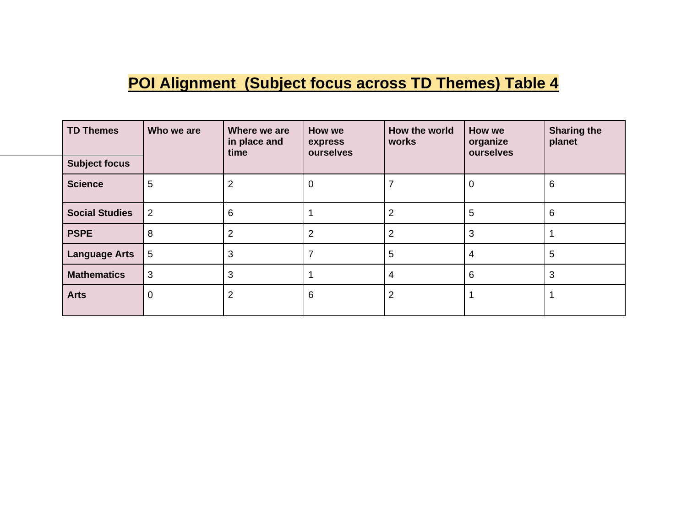# **POI Alignment (Subject focus across TD Themes) Table 4**

| <b>TD Themes</b>      | Who we are     | Where we are<br>in place and<br>time | How we<br>express | How the world<br>How we<br>works<br>organize<br>ourselves<br>ourselves |   | <b>Sharing the</b><br>planet |
|-----------------------|----------------|--------------------------------------|-------------------|------------------------------------------------------------------------|---|------------------------------|
| <b>Subject focus</b>  |                |                                      |                   |                                                                        |   |                              |
| <b>Science</b>        | 5              | 2                                    | 0                 |                                                                        | 0 | 6                            |
| <b>Social Studies</b> | $\overline{2}$ | 6                                    |                   | 2                                                                      | 5 | 6                            |
| <b>PSPE</b>           | 8              | $\overline{2}$                       | 2                 | $\overline{2}$                                                         | 3 |                              |
| <b>Language Arts</b>  | 5              | 3                                    |                   | 5                                                                      | 4 | 5                            |
| <b>Mathematics</b>    | 3              | 3                                    |                   | 4                                                                      | 6 | 3                            |
| <b>Arts</b>           | 0              | 2                                    | 6                 | $\overline{2}$                                                         |   |                              |